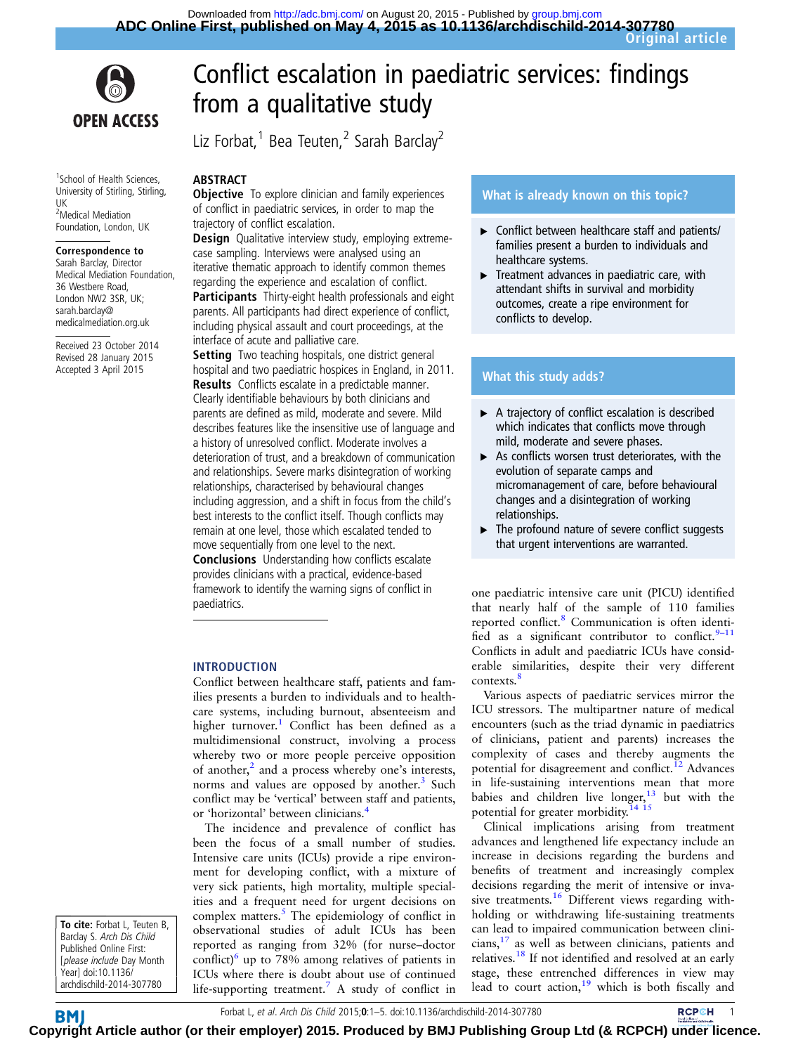



<sup>1</sup>School of Health Sciences, University of Stirling, Stirling, UK 2 Medical Mediation Foundation, London, UK

#### Correspondence to

Sarah Barclay, Director Medical Mediation Foundation, 36 Westbere Road, London NW2 3SR, UK; sarah.barclay@ medicalmediation.org.uk

Received 23 October 2014 Revised 28 January 2015 Accepted 3 April 2015

# Conflict escalation in paediatric services: findings from a qualitative study

Liz Forbat,<sup>1</sup> Bea Teuten,<sup>2</sup> Sarah Barclay<sup>2</sup>

### **ABSTRACT**

**Objective** To explore clinician and family experiences of conflict in paediatric services, in order to map the trajectory of conflict escalation.

Design Qualitative interview study, employing extremecase sampling. Interviews were analysed using an iterative thematic approach to identify common themes regarding the experience and escalation of conflict. Participants Thirty-eight health professionals and eight parents. All participants had direct experience of conflict, including physical assault and court proceedings, at the interface of acute and palliative care.

Setting Two teaching hospitals, one district general hospital and two paediatric hospices in England, in 2011. Results Conflicts escalate in a predictable manner. Clearly identifiable behaviours by both clinicians and parents are defined as mild, moderate and severe. Mild describes features like the insensitive use of language and a history of unresolved conflict. Moderate involves a deterioration of trust, and a breakdown of communication and relationships. Severe marks disintegration of working relationships, characterised by behavioural changes including aggression, and a shift in focus from the child's best interests to the conflict itself. Though conflicts may remain at one level, those which escalated tended to move sequentially from one level to the next.

Conclusions Understanding how conflicts escalate provides clinicians with a practical, evidence-based framework to identify the warning signs of conflict in paediatrics.

#### INTRODUCTION

Conflict between healthcare staff, patients and families presents a burden to individuals and to healthcare systems, including burnout, absenteeism and higher turnover.<sup>[1](#page-3-0)</sup> Conflict has been defined as a multidimensional construct, involving a process whereby two or more people perceive opposition of another, $<sup>2</sup>$  $<sup>2</sup>$  $<sup>2</sup>$  and a process whereby one's interests,</sup> norms and values are opposed by another.<sup>[3](#page-3-0)</sup> Such conflict may be 'vertical' between staff and patients, or 'horizontal' between clinicians.[4](#page-3-0)

The incidence and prevalence of conflict has been the focus of a small number of studies. Intensive care units (ICUs) provide a ripe environment for developing conflict, with a mixture of very sick patients, high mortality, multiple specialities and a frequent need for urgent decisions on complex matters. $5$  The epidemiology of conflict in observational studies of adult ICUs has been reported as ranging from 32% (for nurse–doctor conflict) $6$  up to 78% among relatives of patients in ICUs where there is doubt about use of continued life-supporting treatment.<sup>[7](#page-3-0)</sup> A study of conflict in

## What is already known on this topic?

- ▶ Conflict between healthcare staff and patients/ families present a burden to individuals and healthcare systems.
- ▸ Treatment advances in paediatric care, with attendant shifts in survival and morbidity outcomes, create a ripe environment for conflicts to develop.

## What this study adds?

- $\triangleright$  A trajectory of conflict escalation is described which indicates that conflicts move through mild, moderate and severe phases.
- $\triangleright$  As conflicts worsen trust deteriorates, with the evolution of separate camps and micromanagement of care, before behavioural changes and a disintegration of working relationships.
- $\blacktriangleright$  The profound nature of severe conflict suggests that urgent interventions are warranted.

one paediatric intensive care unit (PICU) identified that nearly half of the sample of 110 families reported conflict.<sup>[8](#page-3-0)</sup> Communication is often identified as a significant contributor to conflict.  $9-11$  $9-11$ Conflicts in adult and paediatric ICUs have considerable similarities, despite their very different contexts.[8](#page-3-0)

Various aspects of paediatric services mirror the ICU stressors. The multipartner nature of medical encounters (such as the triad dynamic in paediatrics of clinicians, patient and parents) increases the complexity of cases and thereby augments the potential for disagreement and conflict.<sup>12</sup> Advances in life-sustaining interventions mean that more babies and children live longer,  $13$  but with the potential for greater morbidity.<sup>[14 15](#page-3-0)</sup>

Clinical implications arising from treatment advances and lengthened life expectancy include an increase in decisions regarding the burdens and benefits of treatment and increasingly complex decisions regarding the merit of intensive or inva-sive treatments.<sup>[16](#page-3-0)</sup> Different views regarding withholding or withdrawing life-sustaining treatments can lead to impaired communication between clinicians, $17$  as well as between clinicians, patients and relatives.[18](#page-3-0) If not identified and resolved at an early stage, these entrenched differences in view may lead to court action, $19$  which is both fiscally and

To cite: Forbat L. Teuten B. Barclay S. Arch Dis Child Published Online First: [please include Day Month Year] doi:10.1136/ archdischild-2014-307780

Forbat L, et al. Arch Dis Child 2015;0:1-5. doi:10.1136/archdischild-2014-307780 **RCPCH** 1

**BM Cop[yrigh](http://adc.bmj.com)t Article author (or their employer) 2015. Produced by BMJ Publishing Group Ltd (& RCPCH) [under l](http://www.rcpch.ac.uk/)icence.**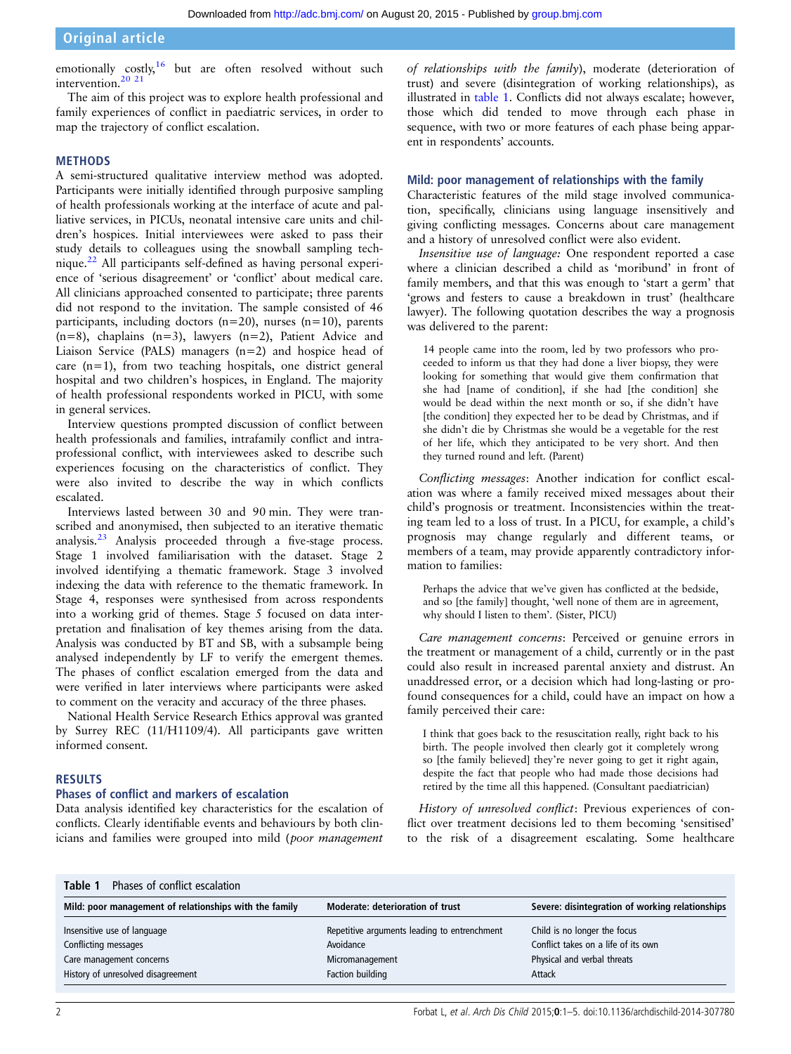## Original article

emotionally costly, $16$  but are often resolved without such intervention.[20 21](#page-4-0)

The aim of this project was to explore health professional and family experiences of conflict in paediatric services, in order to map the trajectory of conflict escalation.

#### **METHODS**

A semi-structured qualitative interview method was adopted. Participants were initially identified through purposive sampling of health professionals working at the interface of acute and palliative services, in PICUs, neonatal intensive care units and children's hospices. Initial interviewees were asked to pass their study details to colleagues using the snowball sampling technique.[22](#page-4-0) All participants self-defined as having personal experience of 'serious disagreement' or 'conflict' about medical care. All clinicians approached consented to participate; three parents did not respond to the invitation. The sample consisted of 46 participants, including doctors (n=20), nurses (n=10), parents (n=8), chaplains (n=3), lawyers (n=2), Patient Advice and Liaison Service (PALS) managers (n=2) and hospice head of care (n=1), from two teaching hospitals, one district general hospital and two children's hospices, in England. The majority of health professional respondents worked in PICU, with some in general services.

Interview questions prompted discussion of conflict between health professionals and families, intrafamily conflict and intraprofessional conflict, with interviewees asked to describe such experiences focusing on the characteristics of conflict. They were also invited to describe the way in which conflicts escalated.

Interviews lasted between 30 and 90 min. They were transcribed and anonymised, then subjected to an iterative thematic analysis.[23](#page-4-0) Analysis proceeded through a five-stage process. Stage 1 involved familiarisation with the dataset. Stage 2 involved identifying a thematic framework. Stage 3 involved indexing the data with reference to the thematic framework. In Stage 4, responses were synthesised from across respondents into a working grid of themes. Stage 5 focused on data interpretation and finalisation of key themes arising from the data. Analysis was conducted by BT and SB, with a subsample being analysed independently by LF to verify the emergent themes. The phases of conflict escalation emerged from the data and were verified in later interviews where participants were asked to comment on the veracity and accuracy of the three phases.

National Health Service Research Ethics approval was granted by Surrey REC (11/H1109/4). All participants gave written informed consent.

## RESULTS

#### Phases of conflict and markers of escalation

Data analysis identified key characteristics for the escalation of conflicts. Clearly identifiable events and behaviours by both clinicians and families were grouped into mild (poor management of relationships with the family), moderate (deterioration of trust) and severe (disintegration of working relationships), as illustrated in table 1. Conflicts did not always escalate; however, those which did tended to move through each phase in sequence, with two or more features of each phase being apparent in respondents' accounts.

#### Mild: poor management of relationships with the family

Characteristic features of the mild stage involved communication, specifically, clinicians using language insensitively and giving conflicting messages. Concerns about care management and a history of unresolved conflict were also evident.

Insensitive use of language: One respondent reported a case where a clinician described a child as 'moribund' in front of family members, and that this was enough to 'start a germ' that 'grows and festers to cause a breakdown in trust' (healthcare lawyer). The following quotation describes the way a prognosis was delivered to the parent:

14 people came into the room, led by two professors who proceeded to inform us that they had done a liver biopsy, they were looking for something that would give them confirmation that she had [name of condition], if she had [the condition] she would be dead within the next month or so, if she didn't have [the condition] they expected her to be dead by Christmas, and if she didn't die by Christmas she would be a vegetable for the rest of her life, which they anticipated to be very short. And then they turned round and left. (Parent)

Conflicting messages: Another indication for conflict escalation was where a family received mixed messages about their child's prognosis or treatment. Inconsistencies within the treating team led to a loss of trust. In a PICU, for example, a child's prognosis may change regularly and different teams, or members of a team, may provide apparently contradictory information to families:

Perhaps the advice that we've given has conflicted at the bedside, and so [the family] thought, 'well none of them are in agreement, why should I listen to them'. (Sister, PICU)

Care management concerns: Perceived or genuine errors in the treatment or management of a child, currently or in the past could also result in increased parental anxiety and distrust. An unaddressed error, or a decision which had long-lasting or profound consequences for a child, could have an impact on how a family perceived their care:

I think that goes back to the resuscitation really, right back to his birth. The people involved then clearly got it completely wrong so [the family believed] they're never going to get it right again, despite the fact that people who had made those decisions had retired by the time all this happened. (Consultant paediatrician)

History of unresolved conflict: Previous experiences of conflict over treatment decisions led to them becoming 'sensitised' to the risk of a disagreement escalating. Some healthcare

| Phases of conflict escalation<br>Table 1               |                                              |                                                 |
|--------------------------------------------------------|----------------------------------------------|-------------------------------------------------|
| Mild: poor management of relationships with the family | Moderate: deterioration of trust             | Severe: disintegration of working relationships |
| Insensitive use of language                            | Repetitive arguments leading to entrenchment | Child is no longer the focus                    |
| Conflicting messages                                   | Avoidance                                    | Conflict takes on a life of its own             |
| Care management concerns                               | Micromanagement                              | Physical and verbal threats                     |
| History of unresolved disagreement                     | Faction building                             | Attack                                          |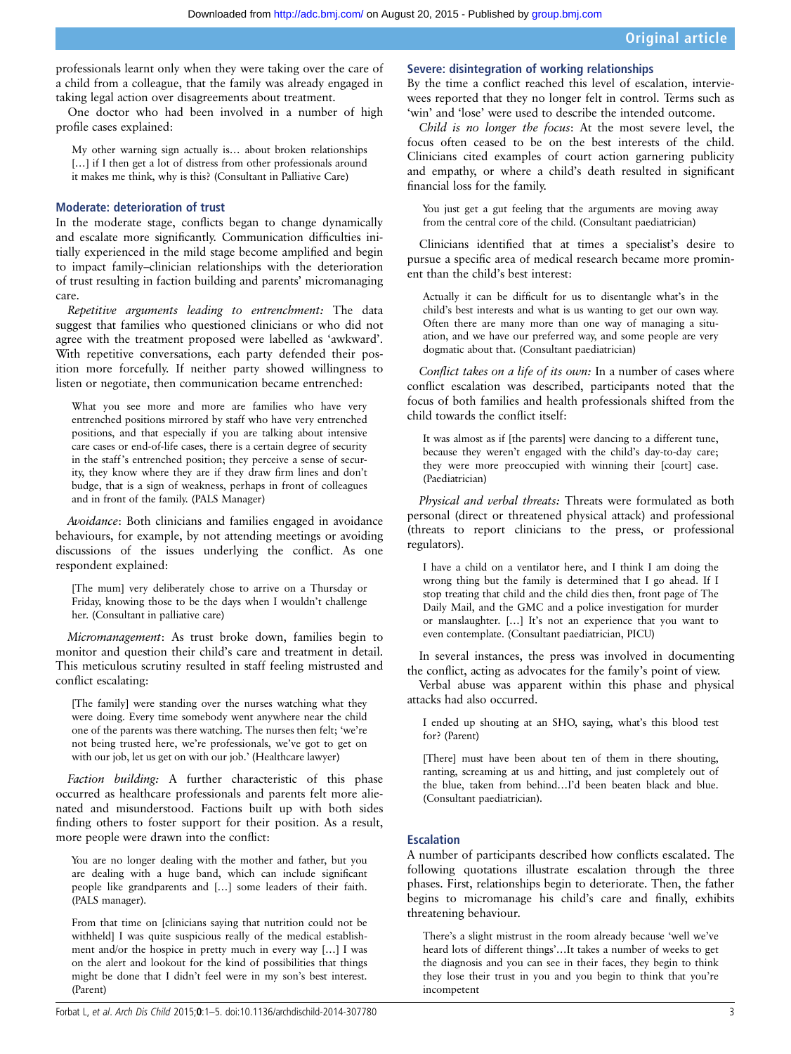professionals learnt only when they were taking over the care of a child from a colleague, that the family was already engaged in taking legal action over disagreements about treatment.

One doctor who had been involved in a number of high profile cases explained:

My other warning sign actually is… about broken relationships [...] if I then get a lot of distress from other professionals around it makes me think, why is this? (Consultant in Palliative Care)

#### Moderate: deterioration of trust

In the moderate stage, conflicts began to change dynamically and escalate more significantly. Communication difficulties initially experienced in the mild stage become amplified and begin to impact family–clinician relationships with the deterioration of trust resulting in faction building and parents' micromanaging care.

Repetitive arguments leading to entrenchment: The data suggest that families who questioned clinicians or who did not agree with the treatment proposed were labelled as 'awkward'. With repetitive conversations, each party defended their position more forcefully. If neither party showed willingness to listen or negotiate, then communication became entrenched:

What you see more and more are families who have very entrenched positions mirrored by staff who have very entrenched positions, and that especially if you are talking about intensive care cases or end-of-life cases, there is a certain degree of security in the staff's entrenched position; they perceive a sense of security, they know where they are if they draw firm lines and don't budge, that is a sign of weakness, perhaps in front of colleagues and in front of the family. (PALS Manager)

Avoidance: Both clinicians and families engaged in avoidance behaviours, for example, by not attending meetings or avoiding discussions of the issues underlying the conflict. As one respondent explained:

[The mum] very deliberately chose to arrive on a Thursday or Friday, knowing those to be the days when I wouldn't challenge her. (Consultant in palliative care)

Micromanagement: As trust broke down, families begin to monitor and question their child's care and treatment in detail. This meticulous scrutiny resulted in staff feeling mistrusted and conflict escalating:

[The family] were standing over the nurses watching what they were doing. Every time somebody went anywhere near the child one of the parents was there watching. The nurses then felt; 'we're not being trusted here, we're professionals, we've got to get on with our job, let us get on with our job.' (Healthcare lawyer)

Faction building: A further characteristic of this phase occurred as healthcare professionals and parents felt more alienated and misunderstood. Factions built up with both sides finding others to foster support for their position. As a result, more people were drawn into the conflict:

You are no longer dealing with the mother and father, but you are dealing with a huge band, which can include significant people like grandparents and […] some leaders of their faith. (PALS manager).

From that time on [clinicians saying that nutrition could not be withheld] I was quite suspicious really of the medical establishment and/or the hospice in pretty much in every way […] I was on the alert and lookout for the kind of possibilities that things might be done that I didn't feel were in my son's best interest. (Parent)

## Severe: disintegration of working relationships

By the time a conflict reached this level of escalation, interviewees reported that they no longer felt in control. Terms such as 'win' and 'lose' were used to describe the intended outcome.

Child is no longer the focus: At the most severe level, the focus often ceased to be on the best interests of the child. Clinicians cited examples of court action garnering publicity and empathy, or where a child's death resulted in significant financial loss for the family.

You just get a gut feeling that the arguments are moving away from the central core of the child. (Consultant paediatrician)

Clinicians identified that at times a specialist's desire to pursue a specific area of medical research became more prominent than the child's best interest:

Actually it can be difficult for us to disentangle what's in the child's best interests and what is us wanting to get our own way. Often there are many more than one way of managing a situation, and we have our preferred way, and some people are very dogmatic about that. (Consultant paediatrician)

Conflict takes on a life of its own: In a number of cases where conflict escalation was described, participants noted that the focus of both families and health professionals shifted from the child towards the conflict itself:

It was almost as if [the parents] were dancing to a different tune, because they weren't engaged with the child's day-to-day care; they were more preoccupied with winning their [court] case. (Paediatrician)

Physical and verbal threats: Threats were formulated as both personal (direct or threatened physical attack) and professional (threats to report clinicians to the press, or professional regulators).

I have a child on a ventilator here, and I think I am doing the wrong thing but the family is determined that I go ahead. If I stop treating that child and the child dies then, front page of The Daily Mail, and the GMC and a police investigation for murder or manslaughter. […] It's not an experience that you want to even contemplate. (Consultant paediatrician, PICU)

In several instances, the press was involved in documenting the conflict, acting as advocates for the family's point of view.

Verbal abuse was apparent within this phase and physical attacks had also occurred.

I ended up shouting at an SHO, saying, what's this blood test for? (Parent)

[There] must have been about ten of them in there shouting, ranting, screaming at us and hitting, and just completely out of the blue, taken from behind…I'd been beaten black and blue. (Consultant paediatrician).

#### Escalation

A number of participants described how conflicts escalated. The following quotations illustrate escalation through the three phases. First, relationships begin to deteriorate. Then, the father begins to micromanage his child's care and finally, exhibits threatening behaviour.

There's a slight mistrust in the room already because 'well we've heard lots of different things'…It takes a number of weeks to get the diagnosis and you can see in their faces, they begin to think they lose their trust in you and you begin to think that you're incompetent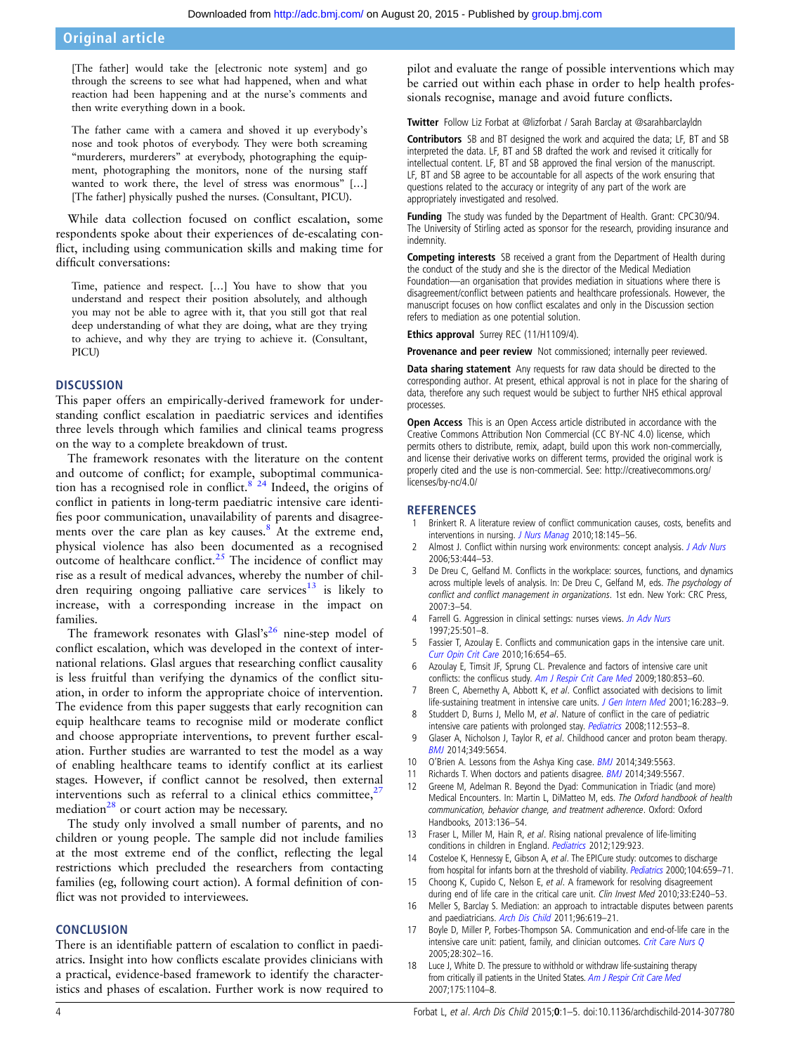<span id="page-3-0"></span>[The father] would take the [electronic note system] and go through the screens to see what had happened, when and what reaction had been happening and at the nurse's comments and then write everything down in a book.

The father came with a camera and shoved it up everybody's nose and took photos of everybody. They were both screaming "murderers, murderers" at everybody, photographing the equipment, photographing the monitors, none of the nursing staff wanted to work there, the level of stress was enormous" […] [The father] physically pushed the nurses. (Consultant, PICU).

While data collection focused on conflict escalation, some respondents spoke about their experiences of de-escalating conflict, including using communication skills and making time for difficult conversations:

Time, patience and respect. […] You have to show that you understand and respect their position absolutely, and although you may not be able to agree with it, that you still got that real deep understanding of what they are doing, what are they trying to achieve, and why they are trying to achieve it. (Consultant, **PICU**)

#### **DISCUSSION**

This paper offers an empirically-derived framework for understanding conflict escalation in paediatric services and identifies three levels through which families and clinical teams progress on the way to a complete breakdown of trust.

The framework resonates with the literature on the content and outcome of conflict; for example, suboptimal communica-tion has a recognised role in conflict.<sup>8 [24](#page-4-0)</sup> Indeed, the origins of conflict in patients in long-term paediatric intensive care identifies poor communication, unavailability of parents and disagreements over the care plan as key causes. $8$  At the extreme end, physical violence has also been documented as a recognised outcome of healthcare conflict. $25$  The incidence of conflict may rise as a result of medical advances, whereby the number of children requiring ongoing palliative care services $13$  is likely to increase, with a corresponding increase in the impact on families.

The framework resonates with Glasl's<sup>[26](#page-4-0)</sup> nine-step model of conflict escalation, which was developed in the context of international relations. Glasl argues that researching conflict causality is less fruitful than verifying the dynamics of the conflict situation, in order to inform the appropriate choice of intervention. The evidence from this paper suggests that early recognition can equip healthcare teams to recognise mild or moderate conflict and choose appropriate interventions, to prevent further escalation. Further studies are warranted to test the model as a way of enabling healthcare teams to identify conflict at its earliest stages. However, if conflict cannot be resolved, then external interventions such as referral to a clinical ethics committee,  $27$ mediation<sup>28</sup> or court action may be necessary.

The study only involved a small number of parents, and no children or young people. The sample did not include families at the most extreme end of the conflict, reflecting the legal restrictions which precluded the researchers from contacting families (eg, following court action). A formal definition of conflict was not provided to interviewees.

#### **CONCLUSION**

There is an identifiable pattern of escalation to conflict in paediatrics. Insight into how conflicts escalate provides clinicians with a practical, evidence-based framework to identify the characteristics and phases of escalation. Further work is now required to

pilot and evaluate the range of possible interventions which may be carried out within each phase in order to help health professionals recognise, manage and avoid future conflicts.

Twitter Follow Liz Forbat at [@lizforbat](http://twitter.com/lizforbat) / Sarah Barclay at [@sarahbarclayldn](http://twitter.com/sarahbarclayldn)

Contributors SB and BT designed the work and acquired the data; LF, BT and SB interpreted the data. LF, BT and SB drafted the work and revised it critically for intellectual content. LF, BT and SB approved the final version of the manuscript. LF, BT and SB agree to be accountable for all aspects of the work ensuring that questions related to the accuracy or integrity of any part of the work are appropriately investigated and resolved.

Funding The study was funded by the Department of Health. Grant: CPC30/94. The University of Stirling acted as sponsor for the research, providing insurance and indemnity.

Competing interests SB received a grant from the Department of Health during the conduct of the study and she is the director of the Medical Mediation Foundation—an organisation that provides mediation in situations where there is disagreement/conflict between patients and healthcare professionals. However, the manuscript focuses on how conflict escalates and only in the Discussion section refers to mediation as one potential solution.

Ethics approval Surrey REC (11/H1109/4).

Provenance and peer review Not commissioned; internally peer reviewed.

Data sharing statement Any requests for raw data should be directed to the corresponding author. At present, ethical approval is not in place for the sharing of data, therefore any such request would be subject to further NHS ethical approval processes.

**Open Access** This is an Open Access article distributed in accordance with the Creative Commons Attribution Non Commercial (CC BY-NC 4.0) license, which permits others to distribute, remix, adapt, build upon this work non-commercially, and license their derivative works on different terms, provided the original work is properly cited and the use is non-commercial. See: [http://creativecommons.org/](http://creativecommons.org/licenses/by-nc/4.0/) [licenses/by-nc/4.0/](http://creativecommons.org/licenses/by-nc/4.0/)

#### **REFERENCES**

- 1 Brinkert R. A literature review of conflict communication causes, costs, benefits and interventions in nursing. [J Nurs Manag](http://dx.doi.org/10.1111/j.1365-2834.2010.01061.x) 2010;18:145-56.
- 2 Almost J. Conflict within nursing work environments: concept analysis. [J Adv Nurs](http://dx.doi.org/10.1111/j.1365-2648.2006.03738.x) 2006;53:444–53.
- 3 De Dreu C, Gelfand M. Conflicts in the workplace: sources, functions, and dynamics across multiple levels of analysis. In: De Dreu C, Gelfand M, eds. The psychology of conflict and conflict management in organizations. 1st edn. New York: CRC Press, 2007:3–54.
- 4 Farrell G. Aggression in clinical settings: nurses views. *[Jn Adv Nurs](http://dx.doi.org/10.1046/j.1365-2648.1997.1997025501.x)* 1997;25:501–8.
- 5 Fassier T, Azoulay E. Conflicts and communication gaps in the intensive care unit. [Curr Opin Crit Care](http://dx.doi.org/10.1097/MCC.0b013e32834044f0) 2010;16:654–65.
- 6 Azoulay E, Timsit JF, Sprung CL. Prevalence and factors of intensive care unit conflicts: the conflicus study. [Am J Respir Crit Care Med](http://dx.doi.org/10.1164/rccm.200810-1614OC) 2009;180:853-60.
- 7 Breen C, Abernethy A, Abbott K, et al. Conflict associated with decisions to limit life-sustaining treatment in intensive care units. [J Gen Intern Med](http://dx.doi.org/10.1046/j.1525-1497.2001.00419.x) 2001;16:283-9.
- 8 Studdert D, Burns J, Mello M, et al. Nature of conflict in the care of pediatric intensive care patients with prolonged stay. [Pediatrics](http://dx.doi.org/10.1542/peds.112.3.553) 2008;112:553-8.
- 9 Glaser A, Nicholson J, Taylor R, et al. Childhood cancer and proton beam therapy. [BMJ](http://dx.doi.org/10.1136/bmj.g5654) 2014;349:5654.
- 10 O'Brien A. Lessons from the Ashya King case. [BMJ](http://dx.doi.org/10.1136/bmj.g5563) 2014;349:5563.
- 11 Richards T. When doctors and patients disagree. **[BMJ](http://dx.doi.org/10.1136/bmj.g5567) 2014;349:5567**.
- 12 Greene M, Adelman R. Beyond the Dyad: Communication in Triadic (and more) Medical Encounters. In: Martin L, DiMatteo M, eds. The Oxford handbook of health communication, behavior change, and treatment adherence. Oxford: Oxford Handbooks, 2013:136–54.
- 13 Fraser L, Miller M, Hain R, et al. Rising national prevalence of life-limiting conditions in children in England. [Pediatrics](http://dx.doi.org/10.1542/peds.2011-2846) 2012;129:923.
- 14 Costeloe K, Hennessy E, Gibson A, et al. The EPICure study: outcomes to discharge from hospital for infants born at the threshold of viability. [Pediatrics](http://dx.doi.org/10.1542/peds.106.4.659) 2000;104:659-71.
- 15 Choong K, Cupido C, Nelson E, et al. A framework for resolving disagreement during end of life care in the critical care unit. Clin Invest Med 2010;33:E240-53.
- Meller S, Barclay S. Mediation: an approach to intractable disputes between parents and paediatricians. [Arch Dis Child](http://dx.doi.org/10.1136/adc.2010.191833) 2011;96:619–21.
- 17 Boyle D, Miller P, Forbes-Thompson SA. Communication and end-of-life care in the intensive care unit: patient, family, and clinician outcomes. [Crit Care Nurs Q](http://dx.doi.org/10.1097/00002727-200510000-00002) 2005;28:302–16.
- Luce J, White D. The pressure to withhold or withdraw life-sustaining therapy from critically ill patients in the United States. [Am J Respir Crit Care Med](http://dx.doi.org/10.1164/rccm.200609-1397CP) 2007;175:1104–8.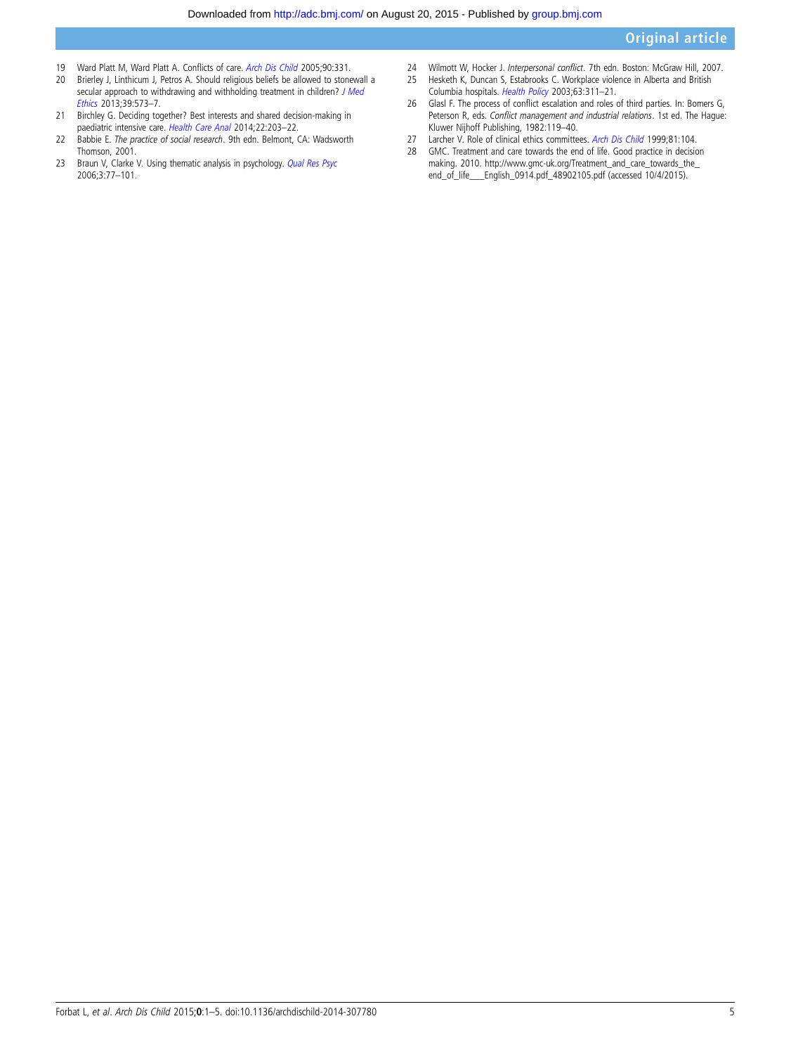- <span id="page-4-0"></span>19 Ward Platt M, Ward Platt A. Conflicts of care. *[Arch Dis Child](http://dx.doi.org/10.1136/adc.2004.069070)* 2005;90:331.<br>20 Brierley J, Linthicum J, Petros A. Should religious beliefs be allowed to stone
- Brierley J, Linthicum J, Petros A. Should religious beliefs be allowed to stonewall a secular approach to withdrawing and withholding treatment in children? *[J Med](http://dx.doi.org/10.1136/medethics-2011-100104)* [Ethics](http://dx.doi.org/10.1136/medethics-2011-100104) 2013;39:573–7.
- 21 Birchley G. Deciding together? Best interests and shared decision-making in paediatric intensive care. [Health Care Anal](http://dx.doi.org/10.1007/s10728-013-0267-y) 2014;22:203–22.
- 22 Babbie E. The practice of social research. 9th edn. Belmont, CA: Wadsworth Thomson, 2001.
- 23 Braun V, Clarke V. Using thematic analysis in psychology. *[Qual Res Psyc](http://dx.doi.org/10.1191/1478088706qp063oa)* 2006;3:77–101.
- 24 Wilmott W, Hocker J. Interpersonal conflict. 7th edn. Boston: McGraw Hill, 2007.
- 25 Hesketh K, Duncan S, Estabrooks C. Workplace violence in Alberta and British Columbia hospitals. [Health Policy](http://dx.doi.org/10.1016/S0168-8510(02)00142-2) 2003;63:311–21.
- 26 Glasl F. The process of conflict escalation and roles of third parties. In: Bomers G, Peterson R, eds. Conflict management and industrial relations. 1st ed. The Hague: Kluwer Nijhoff Publishing, 1982:119–40.
- 27 Larcher V. Role of clinical ethics committees. [Arch Dis Child](doi:10.1136/adc.81.2.104) 1999;81:104.
- 28 GMC. Treatment and care towards the end of life. Good practice in decision making. 2010. http://www.gmc-uk.org/Treatment\_and\_care\_towards\_the\_ end\_of\_life\_\_\_English\_0914.pdf\_48902105.pdf (accessed 10/4/2015).